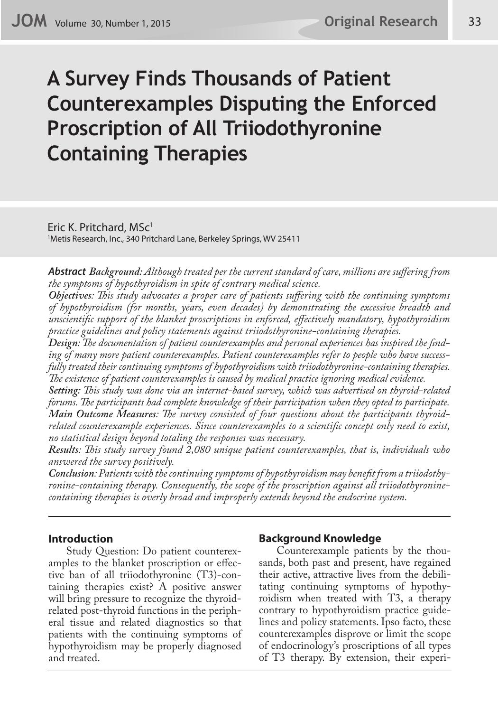# **A Survey Finds Thousands of Patient Counterexamples Disputing the Enforced Proscription of All Triiodothyronine Containing Therapies**

Eric K. Pritchard, MSc<sup>1</sup> 1 Metis Research, Inc., 340 Pritchard Lane, Berkeley Springs, WV 25411

*Abstract Background: Although treated per the current standard of care, millions are suffering from the symptoms of hypothyroidism in spite of contrary medical science.* 

*Objectives: This study advocates a proper care of patients suffering with the continuing symptoms of hypothyroidism (for months, years, even decades) by demonstrating the excessive breadth and unscientific support of the blanket proscriptions in enforced, effectively mandatory, hypothyroidism practice guidelines and policy statements against triiodothyronine-containing therapies.* 

*Design: The documentation of patient counterexamples and personal experiences has inspired the finding of many more patient counterexamples. Patient counterexamples refer to people who have successfully treated their continuing symptoms of hypothyroidism with triiodothyronine-containing therapies. The existence of patient counterexamples is caused by medical practice ignoring medical evidence.* 

*Setting: This study was done via an internet-based survey, which was advertised on thyroid-related forums. The participants had complete knowledge of their participation when they opted to participate. Main Outcome Measures: The survey consisted of four questions about the participants thyroidrelated counterexample experiences. Since counterexamples to a scientific concept only need to exist, no statistical design beyond totaling the responses was necessary.* 

*Results: This study survey found 2,080 unique patient counterexamples, that is, individuals who answered the survey positively.* 

*Conclusion: Patients with the continuing symptoms of hypothyroidism may benefit from a triiodothyronine-containing therapy. Consequently, the scope of the proscription against all triiodothyroninecontaining therapies is overly broad and improperly extends beyond the endocrine system.*

## **Introduction**

Study Question: Do patient counterexamples to the blanket proscription or effective ban of all triiodothyronine (T3)-containing therapies exist? A positive answer will bring pressure to recognize the thyroidrelated post-thyroid functions in the peripheral tissue and related diagnostics so that patients with the continuing symptoms of hypothyroidism may be properly diagnosed and treated.

## **Background Knowledge**

Counterexample patients by the thousands, both past and present, have regained their active, attractive lives from the debilitating continuing symptoms of hypothyroidism when treated with T3, a therapy contrary to hypothyroidism practice guidelines and policy statements. Ipso facto, these counterexamples disprove or limit the scope of endocrinology's proscriptions of all types of T3 therapy. By extension, their experi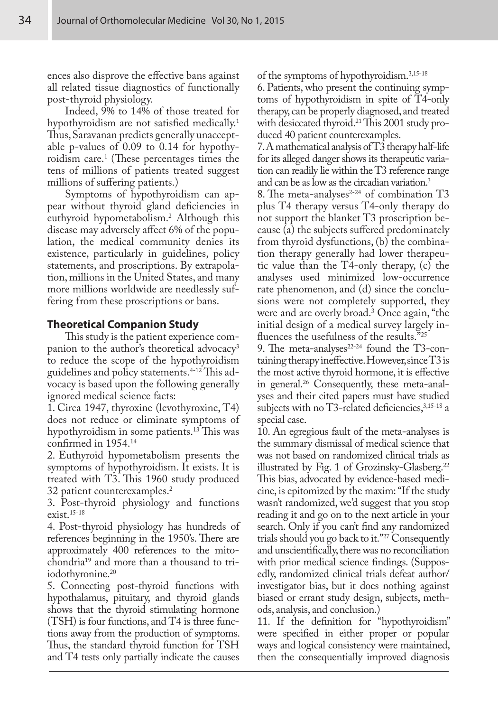ences also disprove the effective bans against all related tissue diagnostics of functionally post-thyroid physiology.

Indeed, 9% to 14% of those treated for hypothyroidism are not satisfied medically.<sup>1</sup> Thus, Saravanan predicts generally unacceptable p-values of 0.09 to 0.14 for hypothyroidism care.1 (These percentages times the tens of millions of patients treated suggest millions of suffering patients.)

Symptoms of hypothyroidism can appear without thyroid gland deficiencies in euthyroid hypometabolism.2 Although this disease may adversely affect 6% of the population, the medical community denies its existence, particularly in guidelines, policy statements, and proscriptions. By extrapolation, millions in the United States, and many more millions worldwide are needlessly suffering from these proscriptions or bans.

#### **Theoretical Companion Study**

This study is the patient experience companion to the author's theoretical advocacy<sup>3</sup> to reduce the scope of the hypothyroidism guidelines and policy statements.4-12 This advocacy is based upon the following generally ignored medical science facts:

1. Circa 1947, thyroxine (levothyroxine, T4) does not reduce or eliminate symptoms of hypothyroidism in some patients.<sup>13</sup> This was confirmed in 1954.14

2. Euthyroid hypometabolism presents the symptoms of hypothyroidism. It exists. It is treated with T3. This 1960 study produced 32 patient counterexamples.2

3. Post-thyroid physiology and functions exist.15-18

4. Post-thyroid physiology has hundreds of references beginning in the 1950's. There are approximately 400 references to the mitochondria19 and more than a thousand to triiodothyronine.<sup>20</sup>

5. Connecting post-thyroid functions with hypothalamus, pituitary, and thyroid glands shows that the thyroid stimulating hormone (TSH) is four functions, and T4 is three functions away from the production of symptoms.

Thus, the standard thyroid function for TSH and T4 tests only partially indicate the causes

of the symptoms of hypothyroidism.<sup>3,15-18</sup>

6. Patients, who present the continuing symptoms of hypothyroidism in spite of T4-only therapy, can be properly diagnosed, and treated with desiccated thyroid.<sup>21</sup> This 2001 study produced 40 patient counterexamples.

7. A mathematical analysis of T3 therapy half-life for its alleged danger shows its therapeutic variation can readily lie within the T3 reference range and can be as low as the circadian variation.3

8. The meta-analyses $2-24$  of combination T3 plus T4 therapy versus T4-only therapy do not support the blanket T3 proscription because (a) the subjects suffered predominately from thyroid dysfunctions, (b) the combination therapy generally had lower therapeutic value than the T4-only therapy, (c) the analyses used minimized low-occurrence rate phenomenon, and (d) since the conclusions were not completely supported, they were and are overly broad.3 Once again, "the initial design of a medical survey largely influences the usefulness of the results."25

9. The meta-analyses $22-24$  found the T3-containing therapy ineffective. However, since T3 is the most active thyroid hormone, it is effective in general.26 Consequently, these meta-analyses and their cited papers must have studied subjects with no T3-related deficiencies,  $3,15-18$  a special case.

10. An egregious fault of the meta-analyses is the summary dismissal of medical science that was not based on randomized clinical trials as illustrated by Fig. 1 of Grozinsky-Glasberg.<sup>22</sup> This bias, advocated by evidence-based medicine, is epitomized by the maxim: "If the study wasn't randomized, we'd suggest that you stop reading it and go on to the next article in your search. Only if you can't find any randomized trials should you go back to it."27 Consequently and unscientifically, there was no reconciliation with prior medical science findings. (Supposedly, randomized clinical trials defeat author/ investigator bias, but it does nothing against biased or errant study design, subjects, methods, analysis, and conclusion.)

11. If the definition for "hypothyroidism" were specified in either proper or popular ways and logical consistency were maintained, then the consequentially improved diagnosis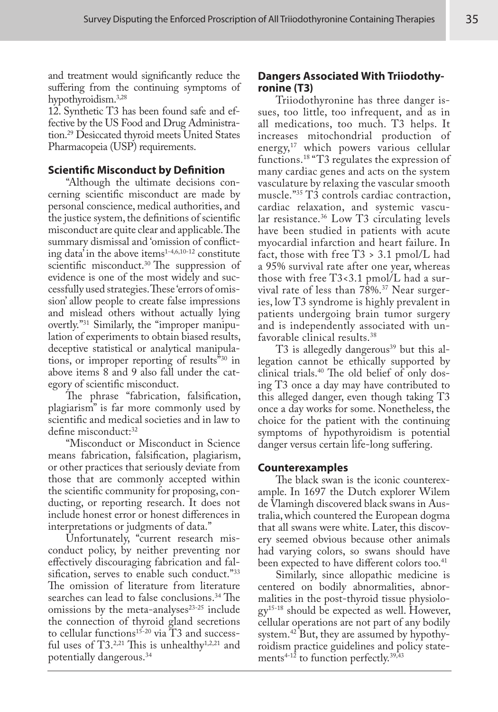and treatment would significantly reduce the suffering from the continuing symptoms of hypothyroidism.3,28

12. Synthetic T3 has been found safe and effective by the US Food and Drug Administration.29 Desiccated thyroid meets United States Pharmacopeia (USP) requirements.

# **Scientific Misconduct by Definition**

"Although the ultimate decisions concerning scientific misconduct are made by personal conscience, medical authorities, and the justice system, the definitions of scientific misconduct are quite clear and applicable. The summary dismissal and 'omission of conflicting data' in the above items $1-4,6,10-12$  constitute scientific misconduct.<sup>30</sup> The suppression of evidence is one of the most widely and successfully used strategies. These 'errors of omission' allow people to create false impressions and mislead others without actually lying overtly."31 Similarly, the "improper manipulation of experiments to obtain biased results, deceptive statistical or analytical manipulations, or improper reporting of results"30 in above items 8 and 9 also fall under the category of scientific misconduct.

The phrase "fabrication, falsification, plagiarism" is far more commonly used by scientific and medical societies and in law to define misconduct:<sup>32</sup>

"Misconduct or Misconduct in Science means fabrication, falsification, plagiarism, or other practices that seriously deviate from those that are commonly accepted within the scientific community for proposing, conducting, or reporting research. It does not include honest error or honest differences in interpretations or judgments of data."

Unfortunately, "current research misconduct policy, by neither preventing nor effectively discouraging fabrication and falsification, serves to enable such conduct."33 The omission of literature from literature searches can lead to false conclusions.<sup>34</sup> The omissions by the meta-analyses $23-25$  include the connection of thyroid gland secretions to cellular functions<sup>15-20</sup> via T3 and successful uses of T3.<sup>2,21</sup> This is unhealthy<sup>1,2,21</sup> and potentially dangerous.34

# **Dangers Associated With Triiodothyronine (T3)**

Triiodothyronine has three danger issues, too little, too infrequent, and as in all medications, too much. T3 helps. It increases mitochondrial production of energy,<sup>17</sup> which powers various cellular functions.18 "T3 regulates the expression of many cardiac genes and acts on the system vasculature by relaxing the vascular smooth muscle."<sup>35</sup> T3 controls cardiac contraction, cardiac relaxation, and systemic vascular resistance.<sup>36</sup> Low T3 circulating levels have been studied in patients with acute myocardial infarction and heart failure. In fact, those with free T3 > 3.1 pmol/L had a 95% survival rate after one year, whereas those with free T3<3.1 pmol/L had a survival rate of less than 78%.<sup>37</sup> Near surgeries, low T3 syndrome is highly prevalent in patients undergoing brain tumor surgery and is independently associated with unfavorable clinical results.38

T3 is allegedly dangerous<sup>39</sup> but this allegation cannot be ethically supported by clinical trials.40 The old belief of only dosing T3 once a day may have contributed to this alleged danger, even though taking T3 once a day works for some. Nonetheless, the choice for the patient with the continuing symptoms of hypothyroidism is potential danger versus certain life-long suffering.

# **Counterexamples**

The black swan is the iconic counterexample. In 1697 the Dutch explorer Wilem de Vlamingh discovered black swans in Australia, which countered the European dogma that all swans were white. Later, this discovery seemed obvious because other animals had varying colors, so swans should have been expected to have different colors too.<sup>41</sup>

Similarly, since allopathic medicine is centered on bodily abnormalities, abnormalities in the post-thyroid tissue physiolo $gy^{15-18}$  should be expected as well. However, cellular operations are not part of any bodily system.42 But, they are assumed by hypothyroidism practice guidelines and policy statements<sup>4-12</sup> to function perfectly.<sup>39,43</sup>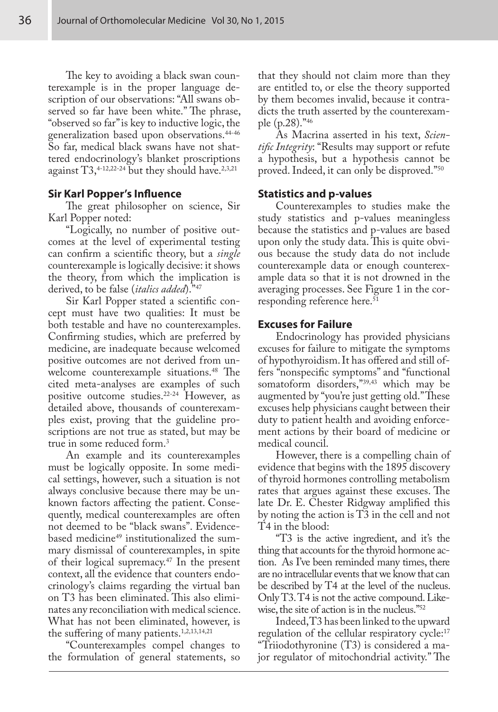The key to avoiding a black swan counterexample is in the proper language description of our observations: "All swans observed so far have been white." The phrase, "observed so far" is key to inductive logic, the generalization based upon observations.44-46 So far, medical black swans have not shattered endocrinology's blanket proscriptions against T3,<sup>4-12,22-24</sup> but they should have.<sup>2,3,21</sup>

## **Sir Karl Popper's Influence**

The great philosopher on science, Sir Karl Popper noted:

"Logically, no number of positive outcomes at the level of experimental testing can confirm a scientific theory, but a *single* counterexample is logically decisive: it shows the theory, from which the implication is derived, to be false (*italics added*)."47

Sir Karl Popper stated a scientific concept must have two qualities: It must be both testable and have no counterexamples. Confirming studies, which are preferred by medicine, are inadequate because welcomed positive outcomes are not derived from unwelcome counterexample situations.<sup>48</sup> The cited meta-analyses are examples of such positive outcome studies.<sup>22-24</sup> However, as detailed above, thousands of counterexamples exist, proving that the guideline proscriptions are not true as stated, but may be true in some reduced form.<sup>3</sup>

An example and its counterexamples must be logically opposite. In some medical settings, however, such a situation is not always conclusive because there may be unknown factors affecting the patient. Consequently, medical counterexamples are often not deemed to be "black swans". Evidencebased medicine<sup>49</sup> institutionalized the summary dismissal of counterexamples, in spite of their logical supremacy.<sup>47</sup> In the present context, all the evidence that counters endocrinology's claims regarding the virtual ban on T3 has been eliminated. This also eliminates any reconciliation with medical science. What has not been eliminated, however, is the suffering of many patients.<sup>1,2,13,14,21</sup>

"Counterexamples compel changes to the formulation of general statements, so

that they should not claim more than they are entitled to, or else the theory supported by them becomes invalid, because it contradicts the truth asserted by the counterexample (p.28)."46

As Macrina asserted in his text, *Scientific Integrity*: "Results may support or refute a hypothesis, but a hypothesis cannot be proved. Indeed, it can only be disproved."50

#### **Statistics and p-values**

Counterexamples to studies make the study statistics and p-values meaningless because the statistics and p-values are based upon only the study data. This is quite obvious because the study data do not include counterexample data or enough counterexample data so that it is not drowned in the averaging processes. See Figure 1 in the corresponding reference here.<sup>51</sup>

#### **Excuses for Failure**

Endocrinology has provided physicians excuses for failure to mitigate the symptoms of hypothyroidism. It has offered and still offers "nonspecific symptoms" and "functional somatoform disorders,"39,43 which may be augmented by "you're just getting old." These excuses help physicians caught between their duty to patient health and avoiding enforcement actions by their board of medicine or medical council.

However, there is a compelling chain of evidence that begins with the 1895 discovery of thyroid hormones controlling metabolism rates that argues against these excuses. The late Dr. E. Chester Ridgway amplified this by noting the action is T3 in the cell and not T4 in the blood:

"T3 is the active ingredient, and it's the thing that accounts for the thyroid hormone action. As I've been reminded many times, there are no intracellular events that we know that can be described by T4 at the level of the nucleus. Only T3. T4 is not the active compound. Likewise, the site of action is in the nucleus."52

Indeed, T3 has been linked to the upward regulation of the cellular respiratory cycle:<sup>17</sup> "Triiodothyronine (T3) is considered a major regulator of mitochondrial activity." The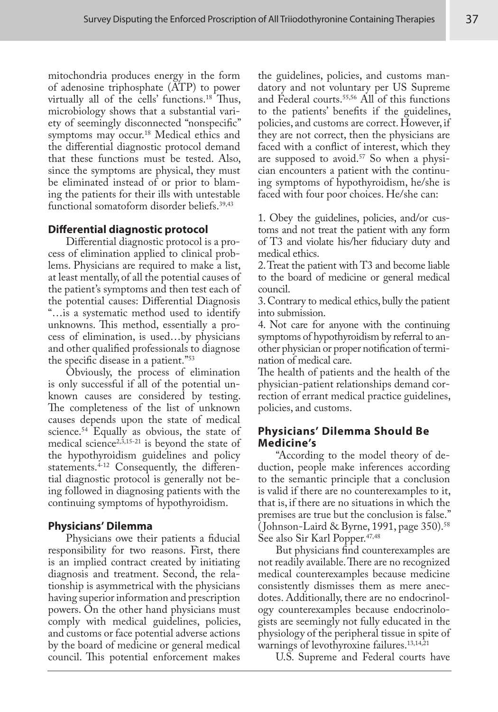mitochondria produces energy in the form of adenosine triphosphate (ATP) to power virtually all of the cells' functions.<sup>18</sup> Thus, microbiology shows that a substantial variety of seemingly disconnected "nonspecific" symptoms may occur.<sup>18</sup> Medical ethics and the differential diagnostic protocol demand that these functions must be tested. Also, since the symptoms are physical, they must be eliminated instead of or prior to blaming the patients for their ills with untestable functional somatoform disorder beliefs.39,43

# **Differential diagnostic protocol**

Differential diagnostic protocol is a process of elimination applied to clinical problems. Physicians are required to make a list, at least mentally, of all the potential causes of the patient's symptoms and then test each of the potential causes: Differential Diagnosis "…is a systematic method used to identify unknowns. This method, essentially a process of elimination, is used…by physicians and other qualified professionals to diagnose the specific disease in a patient."53

Obviously, the process of elimination is only successful if all of the potential unknown causes are considered by testing. The completeness of the list of unknown causes depends upon the state of medical science.<sup>54</sup> Equally as obvious, the state of medical science<sup>2,3,15-21</sup> is beyond the state of the hypothyroidism guidelines and policy statements.<sup>4-12</sup> Consequently, the differential diagnostic protocol is generally not being followed in diagnosing patients with the continuing symptoms of hypothyroidism.

# **Physicians' Dilemma**

Physicians owe their patients a fiducial responsibility for two reasons. First, there is an implied contract created by initiating diagnosis and treatment. Second, the relationship is asymmetrical with the physicians having superior information and prescription powers. On the other hand physicians must comply with medical guidelines, policies, and customs or face potential adverse actions by the board of medicine or general medical council. This potential enforcement makes

the guidelines, policies, and customs mandatory and not voluntary per US Supreme and Federal courts.55,56 All of this functions to the patients' benefits if the guidelines, policies, and customs are correct. However, if they are not correct, then the physicians are faced with a conflict of interest, which they are supposed to avoid.<sup>57</sup> So when a physician encounters a patient with the continuing symptoms of hypothyroidism, he/she is faced with four poor choices. He/she can:

1. Obey the guidelines, policies, and/or customs and not treat the patient with any form of T3 and violate his/her fiduciary duty and medical ethics.

2. Treat the patient with T3 and become liable to the board of medicine or general medical council.

3. Contrary to medical ethics, bully the patient into submission.

4. Not care for anyone with the continuing symptoms of hypothyroidism by referral to another physician or proper notification of termination of medical care.

The health of patients and the health of the physician-patient relationships demand correction of errant medical practice guidelines, policies, and customs.

# **Physicians' Dilemma Should Be Medicine's**

"According to the model theory of deduction, people make inferences according to the semantic principle that a conclusion is valid if there are no counterexamples to it, that is, if there are no situations in which the premises are true but the conclusion is false." ( Johnson-Laird & Byrne, 1991, page 350).<sup>58</sup> See also Sir Karl Popper.<sup>47,48</sup>

But physicians find counterexamples are not readily available. There are no recognized medical counterexamples because medicine consistently dismisses them as mere anecdotes. Additionally, there are no endocrinology counterexamples because endocrinologists are seemingly not fully educated in the physiology of the peripheral tissue in spite of warnings of levothyroxine failures.<sup>13,14,21</sup>

U.S. Supreme and Federal courts have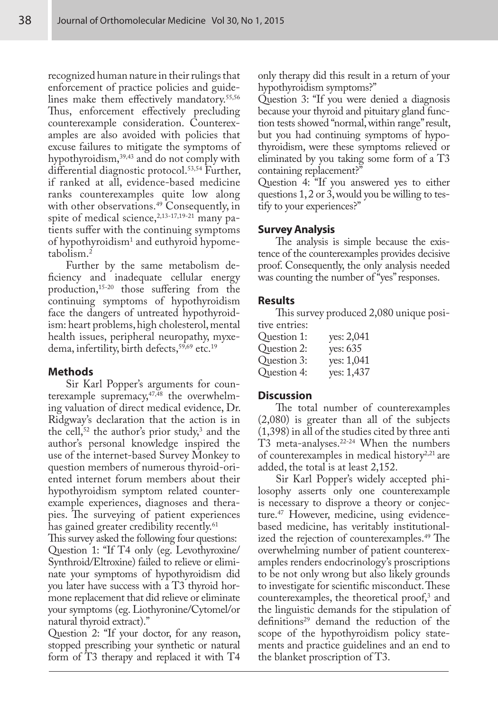recognized human nature in their rulings that enforcement of practice policies and guidelines make them effectively mandatory.<sup>55,56</sup> Thus, enforcement effectively precluding counterexample consideration. Counterexamples are also avoided with policies that excuse failures to mitigate the symptoms of hypothyroidism,<sup>39,43</sup> and do not comply with differential diagnostic protocol.<sup>53,54</sup> Further, if ranked at all, evidence-based medicine ranks counterexamples quite low along with other observations.<sup>49</sup> Consequently, in spite of medical science,  $2,13-17,19-21$  many patients suffer with the continuing symptoms of hypothyroidism1 and euthyroid hypometabolism.2

Further by the same metabolism deficiency and inadequate cellular energy production,<sup>15-20</sup> those suffering from the continuing symptoms of hypothyroidism face the dangers of untreated hypothyroidism: heart problems, high cholesterol, mental health issues, peripheral neuropathy, myxedema, infertility, birth defects,<sup>59,69</sup> etc.<sup>19</sup>

# **Methods**

Sir Karl Popper's arguments for counterexample supremacy,<sup>47,48</sup> the overwhelming valuation of direct medical evidence, Dr. Ridgway's declaration that the action is in the cell,<sup>52</sup> the author's prior study,<sup>3</sup> and the author's personal knowledge inspired the use of the internet-based Survey Monkey to question members of numerous thyroid-oriented internet forum members about their hypothyroidism symptom related counterexample experiences, diagnoses and therapies. The surveying of patient experiences has gained greater credibility recently.<sup>61</sup>

This survey asked the following four questions: Question 1: "If T4 only (eg. Levothyroxine/ Synthroid/Eltroxine) failed to relieve or eliminate your symptoms of hypothyroidism did you later have success with a T3 thyroid hormone replacement that did relieve or eliminate your symptoms (eg. Liothyronine/Cytomel/or natural thyroid extract)."

Question 2: "If your doctor, for any reason, stopped prescribing your synthetic or natural form of T3 therapy and replaced it with T4 only therapy did this result in a return of your hypothyroidism symptoms?"

Question 3: "If you were denied a diagnosis because your thyroid and pituitary gland function tests showed "normal, within range" result, but you had continuing symptoms of hypothyroidism, were these symptoms relieved or eliminated by you taking some form of a T3 containing replacement?"

Question 4: "If you answered yes to either questions 1, 2 or 3, would you be willing to testify to your experiences?"

## **Survey Analysis**

The analysis is simple because the existence of the counterexamples provides decisive proof. Consequently, the only analysis needed was counting the number of "yes" responses.

## **Results**

This survey produced 2,080 unique positive entries:

| uve entres. |            |
|-------------|------------|
| Question 1: | yes: 2,041 |
| Question 2: | yes: 635   |
| Question 3: | yes: 1,041 |
| Question 4: | yes: 1,437 |
|             |            |

## **Discussion**

The total number of counterexamples (2,080) is greater than all of the subjects (1,398) in all of the studies cited by three anti T3 meta-analyses.<sup>22-24</sup> When the numbers of counterexamples in medical history<sup>2,21</sup> are added, the total is at least 2,152.

Sir Karl Popper's widely accepted philosophy asserts only one counterexample is necessary to disprove a theory or conjecture.47 However, medicine, using evidencebased medicine, has veritably institutionalized the rejection of counterexamples.<sup>49</sup> The overwhelming number of patient counterexamples renders endocrinology's proscriptions to be not only wrong but also likely grounds to investigate for scientific misconduct. These counterexamples, the theoretical proof,<sup>3</sup> and the linguistic demands for the stipulation of definitions<sup>29</sup> demand the reduction of the scope of the hypothyroidism policy statements and practice guidelines and an end to the blanket proscription of T3.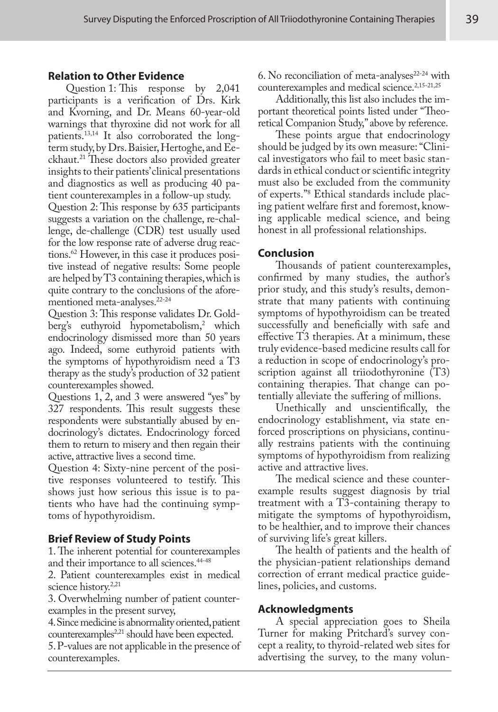## **Relation to Other Evidence**

Question 1: This response by 2,041 participants is a verification of Drs. Kirk and Kvorning, and Dr. Means 60-year-old warnings that thyroxine did not work for all patients.13,14 It also corroborated the longterm study, by Drs. Baisier, Hertoghe, and Eeckhaut.<sup>21</sup> These doctors also provided greater insights to their patients' clinical presentations and diagnostics as well as producing 40 patient counterexamples in a follow-up study.

Question 2: This response by 635 participants suggests a variation on the challenge, re-challenge, de-challenge (CDR) test usually used for the low response rate of adverse drug reactions.62 However, in this case it produces positive instead of negative results: Some people are helped by T3 containing therapies, which is quite contrary to the conclusions of the aforementioned meta-analyses.22-24

Question 3: This response validates Dr. Goldberg's euthyroid hypometabolism,<sup>2</sup> which endocrinology dismissed more than 50 years ago. Indeed, some euthyroid patients with the symptoms of hypothyroidism need a T3 therapy as the study's production of 32 patient counterexamples showed.

Questions 1, 2, and 3 were answered "yes" by 327 respondents. This result suggests these respondents were substantially abused by endocrinology's dictates. Endocrinology forced them to return to misery and then regain their active, attractive lives a second time.

Question 4: Sixty-nine percent of the positive responses volunteered to testify. This shows just how serious this issue is to patients who have had the continuing symptoms of hypothyroidism.

# **Brief Review of Study Points**

1. The inherent potential for counterexamples and their importance to all sciences.<sup>44-48</sup>

2. Patient counterexamples exist in medical science history.<sup>2,21</sup>

3. Overwhelming number of patient counterexamples in the present survey,

4. Since medicine is abnormality oriented, patient counterexamples<sup>2,21</sup> should have been expected.

5. P-values are not applicable in the presence of counterexamples.

6. No reconciliation of meta-analyses $22-24$  with counterexamples and medical science.<sup>2,15-21,25</sup>

Additionally, this list also includes the important theoretical points listed under "Theoretical Companion Study," above by reference.

These points argue that endocrinology should be judged by its own measure: "Clinical investigators who fail to meet basic standards in ethical conduct or scientific integrity must also be excluded from the community of experts."8 Ethical standards include placing patient welfare first and foremost, knowing applicable medical science, and being honest in all professional relationships.

## **Conclusion**

Thousands of patient counterexamples, confirmed by many studies, the author's prior study, and this study's results, demonstrate that many patients with continuing symptoms of hypothyroidism can be treated successfully and beneficially with safe and effective T3 therapies. At a minimum, these truly evidence-based medicine results call for a reduction in scope of endocrinology's proscription against all triiodothyronine (T3) containing therapies. That change can potentially alleviate the suffering of millions.

Unethically and unscientifically, the endocrinology establishment, via state enforced proscriptions on physicians, continually restrains patients with the continuing symptoms of hypothyroidism from realizing active and attractive lives.

The medical science and these counterexample results suggest diagnosis by trial treatment with a T3-containing therapy to mitigate the symptoms of hypothyroidism, to be healthier, and to improve their chances of surviving life's great killers.

The health of patients and the health of the physician-patient relationships demand correction of errant medical practice guidelines, policies, and customs.

#### **Acknowledgments**

A special appreciation goes to Sheila Turner for making Pritchard's survey concept a reality, to thyroid-related web sites for advertising the survey, to the many volun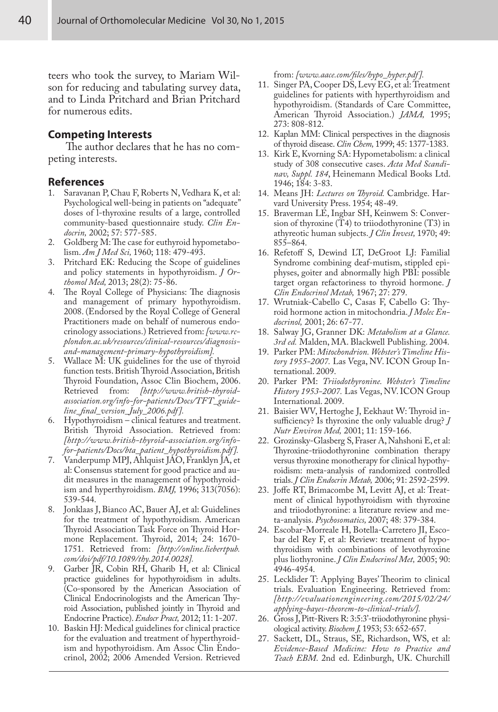teers who took the survey, to Mariam Wilson for reducing and tabulating survey data, and to Linda Pritchard and Brian Pritchard for numerous edits.

#### **Competing Interests**

The author declares that he has no competing interests.

#### **References**

- 1. Saravanan P, Chau F, Roberts N, Vedhara K, et al: Psychological well-being in patients on "adequate" doses of l-thyroxine results of a large, controlled community-based questionnaire study. *Clin Endocrin,* 2002; 57: 577-585.
- 2. Goldberg M: The case for euthyroid hypometabolism. *Am J Med Sci,* 1960; 118: 479-493.
- 3. Pritchard EK: Reducing the Scope of guidelines and policy statements in hypothyroidism. *J Orthomol Med,* 2013; 28(2): 75-86.
- 4. The Royal College of Physicians: The diagnosis and management of primary hypothyroidism. 2008. (Endorsed by the Royal College of General Practitioners made on behalf of numerous endocrinology associations.) Retrieved from: *[www.rcplondon.ac.uk/resources/clinical-resources/diagnosisand-management-primary-hypothyroidism].*
- 5. Wallace M: UK guidelines for the use of thyroid function tests. British Thyroid Association, British Thyroid Foundation, Assoc Clin Biochem, 2006.<br>Retrieved from: [http://www.british-thyroidfrom: [http://www.british-thyroid*association.org/info-for-patients/Docs/TFT\_guideline\_final\_version\_July\_2006.pdf ].*
- 6. Hypothyroidism clinical features and treatment. British Thyroid Association. Retrieved from: *[http://www.british-thyroid-association.org/infofor-patients/Docs/bta\_patient\_hypothyroidism.pdf ].*
- 7. Vanderpump MPJ, Ahlquist JAO, Franklyn JA, et al: Consensus statement for good practice and audit measures in the management of hypothyroidism and hyperthyroidism. *BMJ,* 1996; 313(7056): 539-544.
- 8. Jonklaas J, Bianco AC, Bauer AJ, et al: Guidelines for the treatment of hypothyroidism. American Thyroid Association Task Force on Thyroid Hormone Replacement. Thyroid, 2014; 24: 1670- 1751. Retrieved from: *[http://online.liebertpub. com/doi/pdf/10.1089/thy.2014.0028].*
- 9. Garber JR, Cobin RH, Gharib H, et al: Clinical practice guidelines for hypothyroidism in adults. (Co-sponsored by the American Association of Clinical Endocrinologists and the American Thyroid Association, published jointly in Thyroid and Endocrine Practice). *Endocr Pract,* 2012; 11: 1-207.
- 10. Baskin HJ: Medical guidelines for clinical practice for the evaluation and treatment of hyperthyroidism and hypothyroidism. Am Assoc Clin Endocrinol, 2002; 2006 Amended Version. Retrieved

from: *[www.aace.com/files/hypo\_hyper.pdf ].*

- 11. Singer PA, Cooper DS, Levy EG, et al: Treatment guidelines for patients with hyperthyroidism and hypothyroidism. (Standards of Care Committee, American Thyroid Association.) *JAMA,* 1995; 273: 808-812.
- 12. Kaplan MM: Clinical perspectives in the diagnosis of thyroid disease. *Clin Chem,* 1999; 45: 1377-1383.
- 13. Kirk E, Kvorning SA: Hypometabolism: a clinical study of 308 consecutive cases. *Acta Med Scandinav, Suppl. 184*, Heinemann Medical Books Ltd. 1946; 184: 3-83.
- 14. Means JH: *Lectures on Thyroid.* Cambridge. Harvard University Press. 1954; 48-49.
- 15. Braverman LE, Ingbar SH, Keinwem S: Conversion of thyroxine (T4) to triiodothyronine (T3) in athyreotic human subjects. *J Clin Invest,* 1970; 49: 855–864.
- 16. Refetoff S, Dewind LT, DeGroot LJ: Familial Syndrome combining deaf-mutism, stippled epiphyses, goiter and abnormally high PBI: possible target organ refactoriness to thyroid hormone. *J Clin Endocrinol Metab,* 1967; 27: 279.
- 17. Wrutniak-Cabello C, Casas F, Cabello G: Thyroid hormone action in mitochondria. *J Molec Endocrinol,* 2001; 26: 67-77.
- 18. Salway JG, Granner DK: *Metabolism at a Glance. 3rd ed.* Malden, MA. Blackwell Publishing. 2004.
- 19. Parker PM: *Mitochondrion. Webster's Timeline History 1955-2007.* Las Vega, NV. ICON Group International. 2009.
- 20. Parker PM: *Triiodothyronine. Webster's Timeline History 1953-2007.* Las Vegas, NV. ICON Group International. 2009.
- 21. Baisier WV, Hertoghe J, Eekhaut W: Thyroid insufficiency? Is thyroxine the only valuable drug? *J Nutr Environ Med,* 2001; 11: 159-166.
- 22. Grozinsky-Glasberg S, Fraser A, Nahshoni E, et al: Thyroxine-triiodothyronine combination therapy versus thyroxine monotherapy for clinical hypothyroidism: meta-analysis of randomized controlled trials. *J Clin Endocrin Metab,* 2006; 91: 2592-2599.
- 23. Joffe RT, Brimacombe M, Levitt AJ, et al: Treatment of clinical hypothyroidism with thyroxine and triiodothyronine: a literature review and meta-analysis. *Psychosomatics,* 2007; 48: 379-384.
- 24. Escobar-Morreale H, Botella-Carretero JI, Escobar del Rey F, et al: Review: treatment of hypothyroidism with combinations of levothyroxine plus liothyronine. *J Clin Endocrinol Met,* 2005; 90: 4946-4954.
- 25. Lecklider T: Applying Bayes' Theorim to clinical trials. Evaluation Engineering. Retrieved from: *[http://evaluationengineering.com/2015/02/24/ applying-bayes-theorem-to-clinical-trials/].*
- 26. Gross J, Pitt-Rivers R: 3:5:3'-triiodothyronine physiological activity. *Biochem J,* 1953; 53: 652-657.
- 27. Sackett, DL, Straus, SE, Richardson, WS, et al: *Evidence-Based Medicine: How to Practice and Teach EBM*. 2nd ed. Edinburgh, UK. Churchill